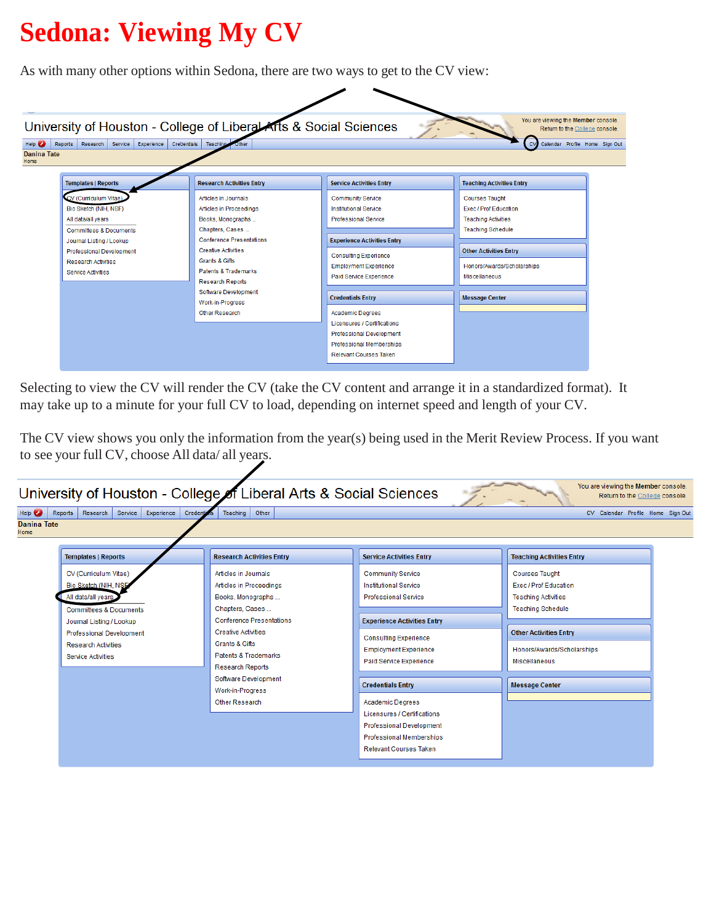# **Sedona: Viewing My CV**

As with many other options within Sedona, there are two ways to get to the CV view:



Selecting to view the CV will render the CV (take the CV content and arrange it in a standardized format). It may take up to a minute for your full CV to load, depending on internet speed and length of your CV.

The CV view shows you only the information from the year(s) being used in the Merit Review Process. If you want to see your full CV, choose All data/ all years.

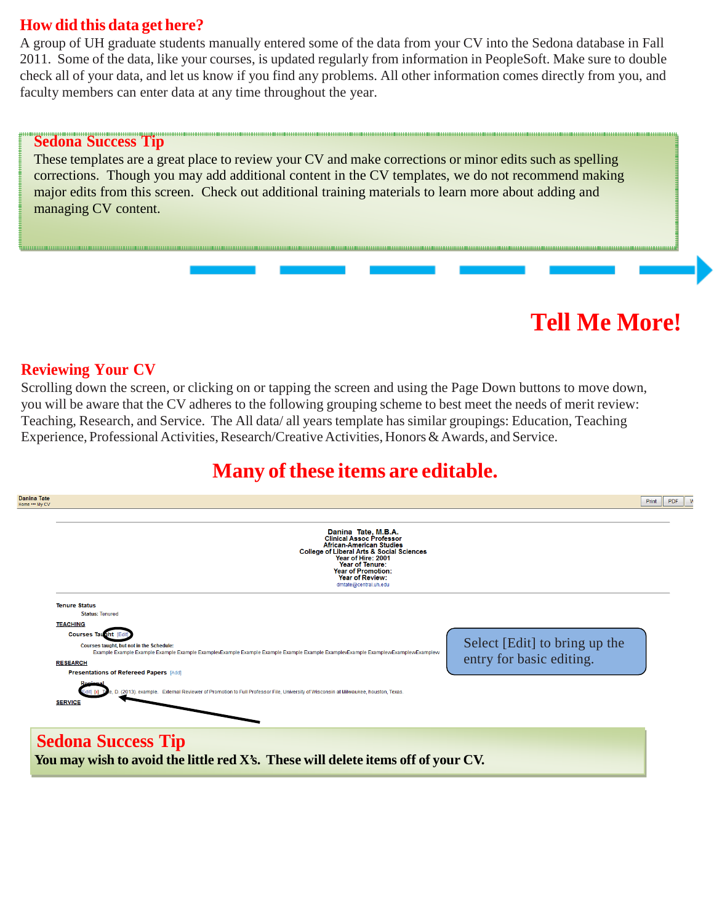### **How did this data get here?**

A group of UH graduate students manually entered some of the data from your CV into the Sedona database in Fall 2011. Some of the data, like your courses, is updated regularly from information in PeopleSoft. Make sure to double check all of your data, and let us know if you find any problems. All other information comes directly from you, and faculty members can enter data at any time throughout the year.

#### **Sedona Success Tip**

These templates are a great place to review your CV and make corrections or minor edits such as spelling corrections. Though you may add additional content in the CV templates, we do not recommend making major edits from this screen. Check out additional training materials to learn more about adding and managing CV content.

#### **Reviewing Your CV**

Scrolling down the screen, or clicking on or tapping the screen and using the Page Down buttons to move down, you will be aware that the CV adheres to the following grouping scheme to best meet the needs of merit review: Teaching, Research, and Service. The All data/ all years template has similar groupings: Education, Teaching Experience, Professional Activities, Research/Creative Activities, Honors & Awards, and Service.

## **Many ofthese items are editable.**

**Tell Me More!**



**Sedona Success Tip**<br>You may wish to avoid the little red X's. These will delete items off of your CV.